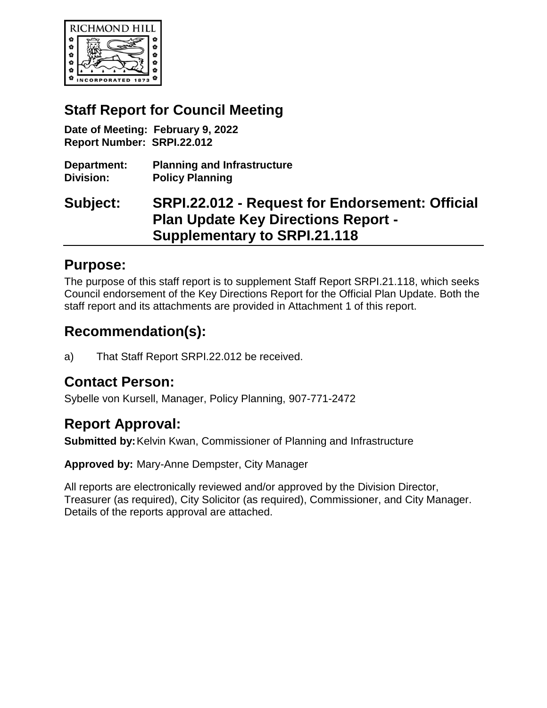

### **Staff Report for Council Meeting**

**Date of Meeting: February 9, 2022 Report Number: SRPI.22.012**

| Department:      | <b>Planning and Infrastructure</b> |
|------------------|------------------------------------|
| <b>Division:</b> | <b>Policy Planning</b>             |

## **Subject: SRPI.22.012 - Request for Endorsement: Official Plan Update Key Directions Report - Supplementary to SRPI.21.118**

#### **Purpose:**

The purpose of this staff report is to supplement Staff Report SRPI.21.118, which seeks Council endorsement of the Key Directions Report for the Official Plan Update. Both the staff report and its attachments are provided in Attachment 1 of this report.

### **Recommendation(s):**

a) That Staff Report SRPI.22.012 be received.

#### **Contact Person:**

Sybelle von Kursell, Manager, Policy Planning, 907-771-2472

### **Report Approval:**

**Submitted by:**Kelvin Kwan, Commissioner of Planning and Infrastructure

**Approved by:** Mary-Anne Dempster, City Manager

All reports are electronically reviewed and/or approved by the Division Director, Treasurer (as required), City Solicitor (as required), Commissioner, and City Manager. Details of the reports approval are attached.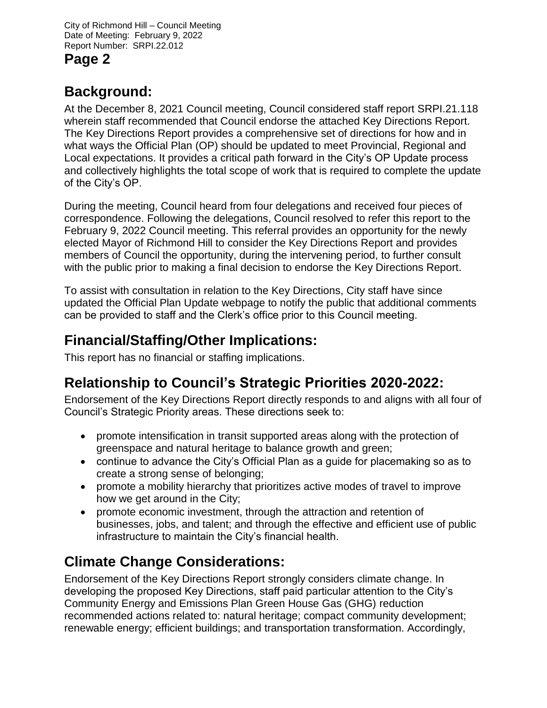City of Richmond Hill – Council Meeting Date of Meeting: February 9, 2022 Report Number: SRPI.22.012 **Page 2**

## **Background:**

At the December 8, 2021 Council meeting, Council considered staff report SRPI.21.118 wherein staff recommended that Council endorse the attached Key Directions Report. The Key Directions Report provides a comprehensive set of directions for how and in what ways the Official Plan (OP) should be updated to meet Provincial, Regional and Local expectations. It provides a critical path forward in the City's OP Update process and collectively highlights the total scope of work that is required to complete the update of the City's OP.

During the meeting, Council heard from four delegations and received four pieces of correspondence. Following the delegations, Council resolved to refer this report to the February 9, 2022 Council meeting. This referral provides an opportunity for the newly elected Mayor of Richmond Hill to consider the Key Directions Report and provides members of Council the opportunity, during the intervening period, to further consult with the public prior to making a final decision to endorse the Key Directions Report.

To assist with consultation in relation to the Key Directions, City staff have since updated the Official Plan Update webpage to notify the public that additional comments can be provided to staff and the Clerk's office prior to this Council meeting.

## **Financial/Staffing/Other Implications:**

This report has no financial or staffing implications.

## **Relationship to Council's Strategic Priorities 2020-2022:**

Endorsement of the Key Directions Report directly responds to and aligns with all four of Council's Strategic Priority areas. These directions seek to:

- promote intensification in transit supported areas along with the protection of greenspace and natural heritage to balance growth and green;
- continue to advance the City's Official Plan as a guide for placemaking so as to create a strong sense of belonging;
- promote a mobility hierarchy that prioritizes active modes of travel to improve how we get around in the City;
- promote economic investment, through the attraction and retention of businesses, jobs, and talent; and through the effective and efficient use of public infrastructure to maintain the City's financial health.

# **Climate Change Considerations:**

Endorsement of the Key Directions Report strongly considers climate change. In developing the proposed Key Directions, staff paid particular attention to the City's Community Energy and Emissions Plan Green House Gas (GHG) reduction recommended actions related to: natural heritage; compact community development; renewable energy; efficient buildings; and transportation transformation. Accordingly,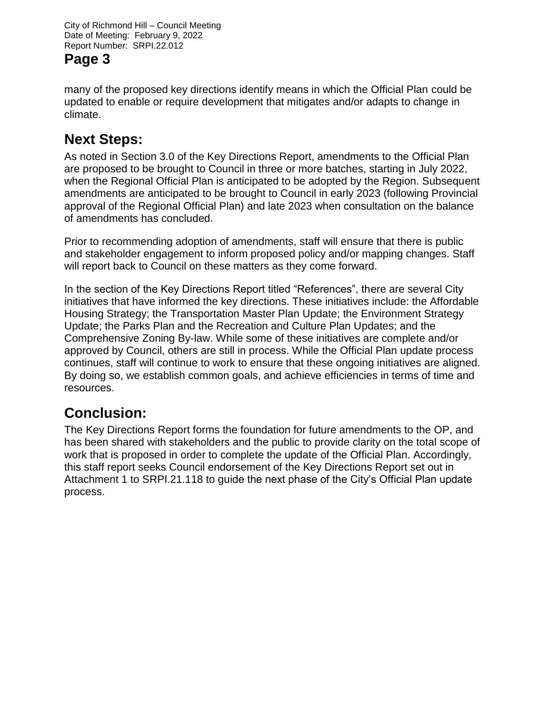City of Richmond Hill – Council Meeting Date of Meeting: February 9, 2022 Report Number: SRPI.22.012

## **Page 3**

many of the proposed key directions identify means in which the Official Plan could be updated to enable or require development that mitigates and/or adapts to change in climate.

## **Next Steps:**

As noted in Section 3.0 of the Key Directions Report, amendments to the Official Plan are proposed to be brought to Council in three or more batches, starting in July 2022, when the Regional Official Plan is anticipated to be adopted by the Region. Subsequent amendments are anticipated to be brought to Council in early 2023 (following Provincial approval of the Regional Official Plan) and late 2023 when consultation on the balance of amendments has concluded.

Prior to recommending adoption of amendments, staff will ensure that there is public and stakeholder engagement to inform proposed policy and/or mapping changes. Staff will report back to Council on these matters as they come forward.

In the section of the Key Directions Report titled "References", there are several City initiatives that have informed the key directions. These initiatives include: the Affordable Housing Strategy; the Transportation Master Plan Update; the Environment Strategy Update; the Parks Plan and the Recreation and Culture Plan Updates; and the Comprehensive Zoning By-law. While some of these initiatives are complete and/or approved by Council, others are still in process. While the Official Plan update process continues, staff will continue to work to ensure that these ongoing initiatives are aligned. By doing so, we establish common goals, and achieve efficiencies in terms of time and resources.

# **Conclusion:**

The Key Directions Report forms the foundation for future amendments to the OP, and has been shared with stakeholders and the public to provide clarity on the total scope of work that is proposed in order to complete the update of the Official Plan. Accordingly, this staff report seeks Council endorsement of the Key Directions Report set out in Attachment 1 to SRPI.21.118 to guide the next phase of the City's Official Plan update process.